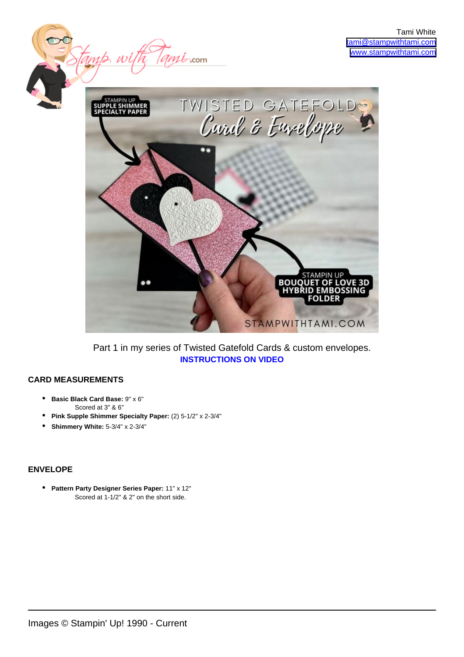

mit .com

Part 1 in my series of Twisted Gatefold Cards & custom envelopes. **[INSTRUCTIONS ON VIDEO](https://youtu.be/BWV494KzYSM)**

## **CARD MEASUREMENTS**

**Basic Black Card Base:** 9" x 6" • Scored at 3" & 6"

tamp, w

- **Pink Supple Shimmer Specialty Paper:** (2) 5-1/2" x 2-3/4"
- **Shimmery White:** 5-3/4" x 2-3/4"

## **ENVELOPE**

**• Pattern Party Designer Series Paper: 11" x 12"** Scored at 1-1/2" & 2" on the short side.